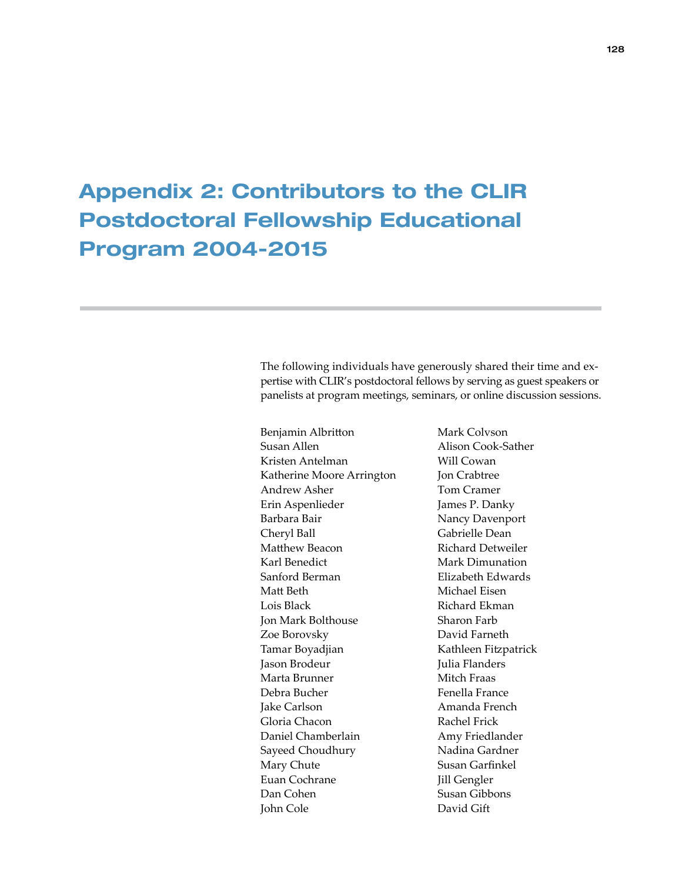## Appendix 2: Contributors to the CLIR Postdoctoral Fellowship Educational Program 2004-2015

The following individuals have generously shared their time and expertise with CLIR's postdoctoral fellows by serving as guest speakers or panelists at program meetings, seminars, or online discussion sessions.

Benjamin Albritton Susan Allen Kristen Antelman Katherine Moore Arrington Andrew Asher Erin Aspenlieder Barbara Bair Cheryl Ball Matthew Beacon Karl Benedict Sanford Berman Matt Beth Lois Black Jon Mark Bolthouse Zoe Borovsky Tamar Boyadjian Jason Brodeur Marta Brunner Debra Bucher Jake Carlson Gloria Chacon Daniel Chamberlain Sayeed Choudhury Mary Chute Euan Cochrane Dan Cohen John Cole

Mark Colvson Alison Cook-Sather Will Cowan Jon Crabtree Tom Cramer James P. Danky Nancy Davenport Gabrielle Dean Richard Detweiler Mark Dimunation Elizabeth Edwards Michael Eisen Richard Ekman Sharon Farb David Farneth Kathleen Fitzpatrick Julia Flanders Mitch Fraas Fenella France Amanda French Rachel Frick Amy Friedlander Nadina Gardner Susan Garfinkel Jill Gengler Susan Gibbons David Gift